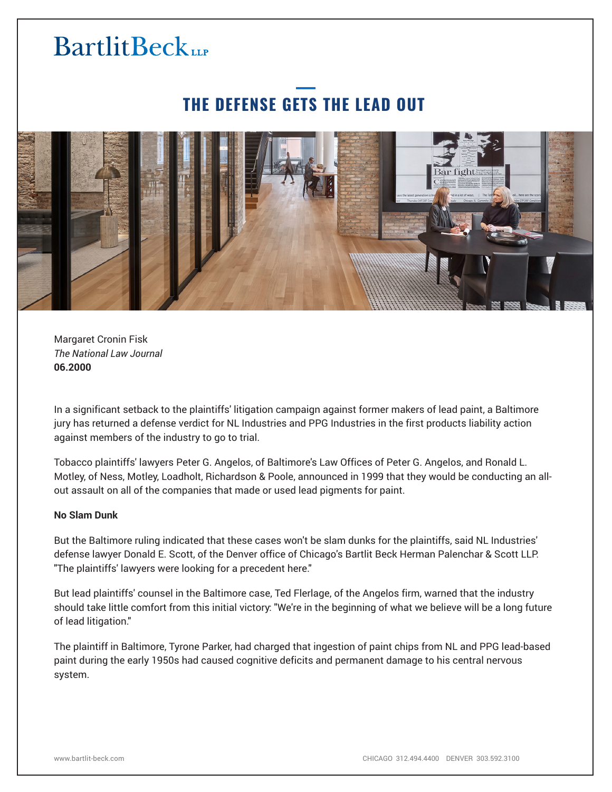## **BartlitBeck**

## **THE DEFENSE GETS THE LEAD OUT**



Margaret Cronin Fisk *The National Law Journal* **06.2000**

In a significant setback to the plaintiffs' litigation campaign against former makers of lead paint, a Baltimore jury has returned a defense verdict for NL Industries and PPG Industries in the first products liability action against members of the industry to go to trial.

Tobacco plaintiffs' lawyers Peter G. Angelos, of Baltimore's Law Offices of Peter G. Angelos, and Ronald L. Motley, of Ness, Motley, Loadholt, Richardson & Poole, announced in 1999 that they would be conducting an allout assault on all of the companies that made or used lead pigments for paint.

## **No Slam Dunk**

But the Baltimore ruling indicated that these cases won't be slam dunks for the plaintiffs, said NL Industries' defense lawyer Donald E. Scott, of the Denver office of Chicago's Bartlit Beck Herman Palenchar & Scott LLP. "The plaintiffs' lawyers were looking for a precedent here."

But lead plaintiffs' counsel in the Baltimore case, Ted Flerlage, of the Angelos firm, warned that the industry should take little comfort from this initial victory: "We're in the beginning of what we believe will be a long future of lead litigation."

The plaintiff in Baltimore, Tyrone Parker, had charged that ingestion of paint chips from NL and PPG lead-based paint during the early 1950s had caused cognitive deficits and permanent damage to his central nervous system.